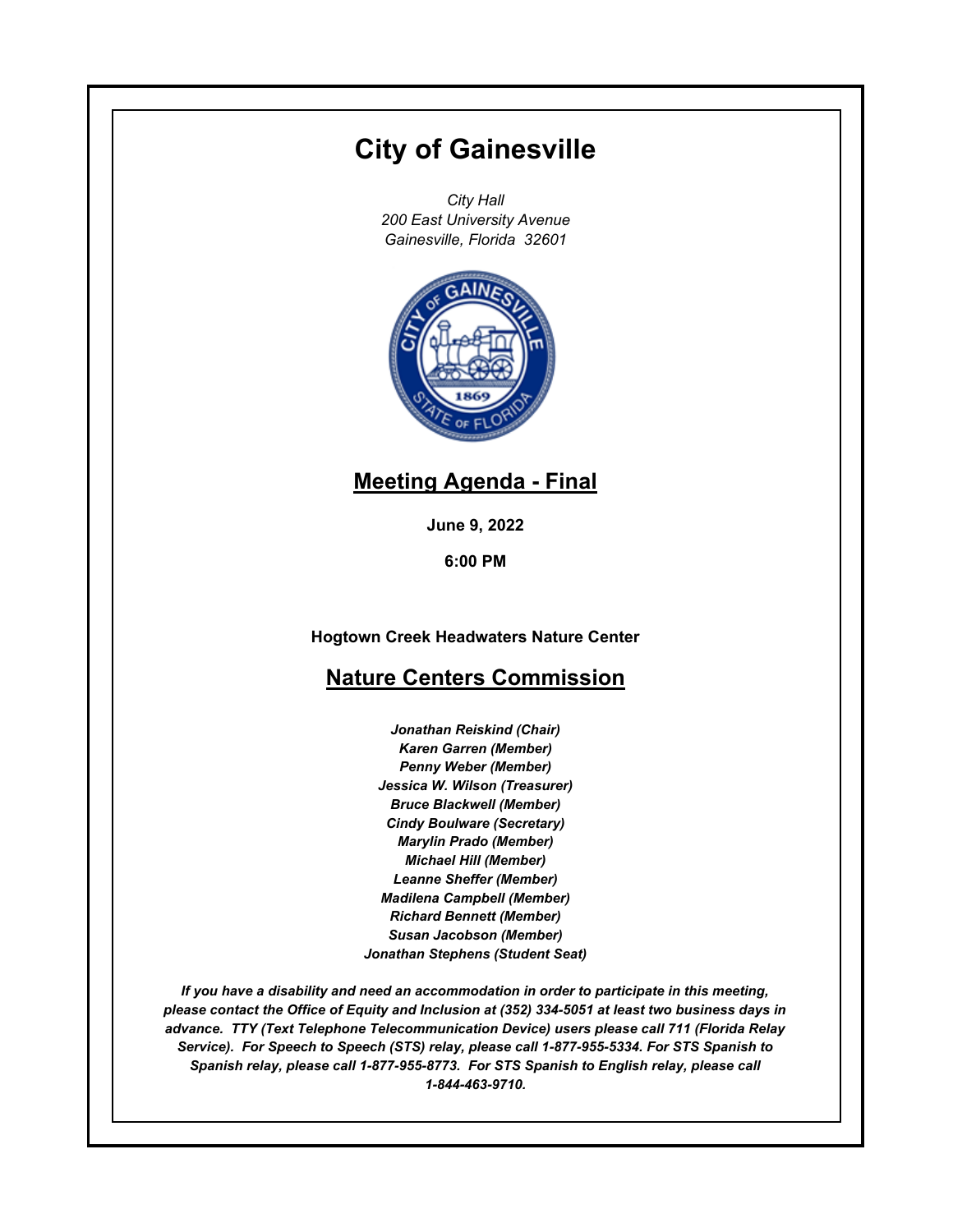# **City of Gainesville**

*City Hall 200 East University Avenue Gainesville, Florida 32601*



## **Meeting Agenda - Final**

**June 9, 2022**

**6:00 PM**

**Hogtown Creek Headwaters Nature Center**

### **Nature Centers Commission**

*Jonathan Reiskind (Chair) Karen Garren (Member) Penny Weber (Member) Jessica W. Wilson (Treasurer) Bruce Blackwell (Member) Cindy Boulware (Secretary) Marylin Prado (Member) Michael Hill (Member) Leanne Sheffer (Member) Madilena Campbell (Member) Richard Bennett (Member) Susan Jacobson (Member) Jonathan Stephens (Student Seat)*

*If you have a disability and need an accommodation in order to participate in this meeting, please contact the Office of Equity and Inclusion at (352) 334-5051 at least two business days in advance. TTY (Text Telephone Telecommunication Device) users please call 711 (Florida Relay Service). For Speech to Speech (STS) relay, please call 1-877-955-5334. For STS Spanish to Spanish relay, please call 1-877-955-8773. For STS Spanish to English relay, please call 1-844-463-9710.*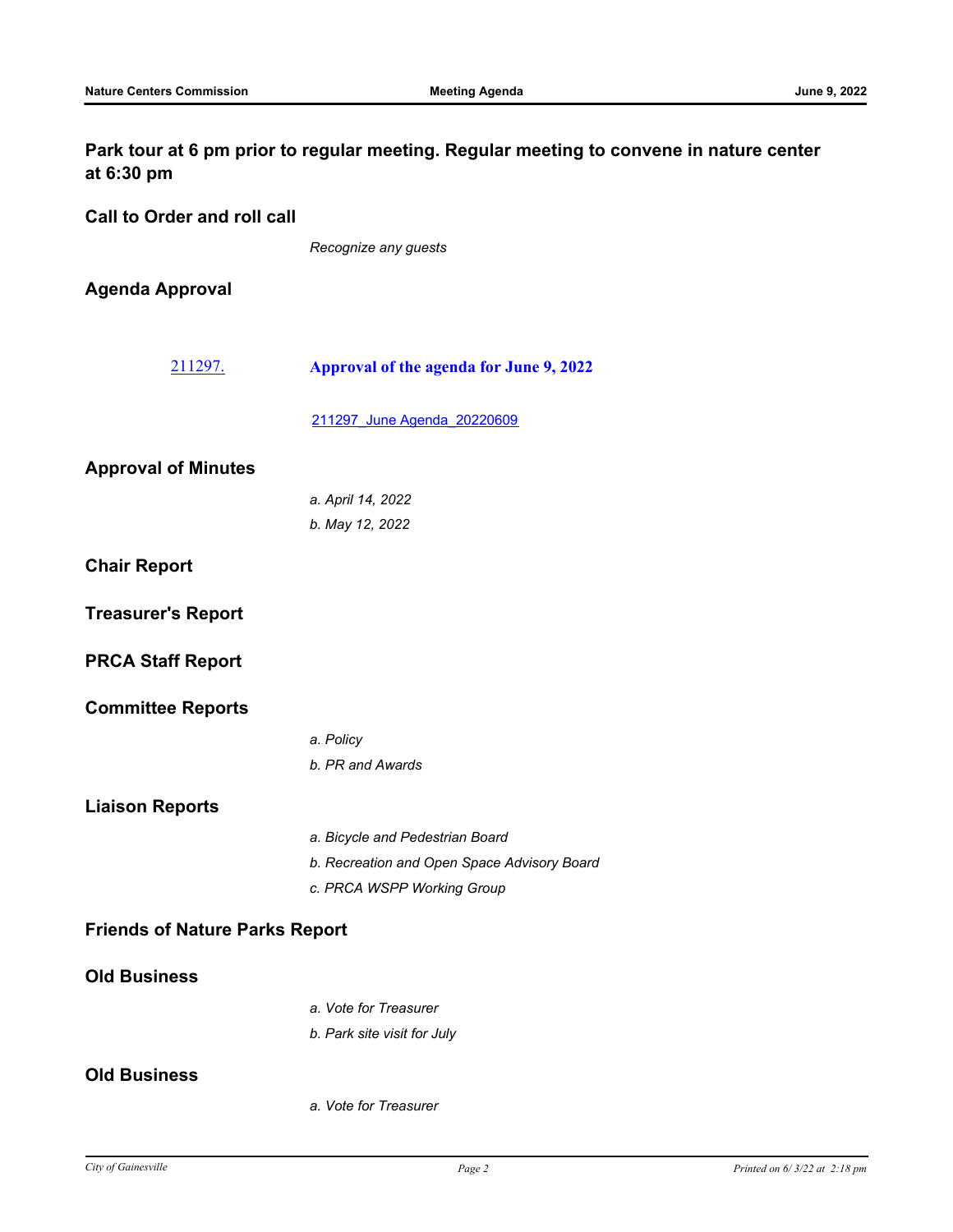#### **Park tour at 6 pm prior to regular meeting. Regular meeting to convene in nature center at 6:30 pm**

**Call to Order and roll call**

*Recognize any guests*

**Agenda Approval**

- [211297.](http://gainesville.legistar.com/gateway.aspx?m=l&id=/matter.aspx?key=34079) **Approval of the agenda for June 9, 2022**
	- [211297\\_June Agenda\\_20220609](http://Gainesville.legistar.com/gateway.aspx?M=F&ID=cf9c8631-863a-4069-bf95-c2c50af97a67.pdf)

| <b>Approval of Minutes</b>            |                                             |
|---------------------------------------|---------------------------------------------|
|                                       | a. April 14, 2022                           |
|                                       | b. May 12, 2022                             |
| <b>Chair Report</b>                   |                                             |
| <b>Treasurer's Report</b>             |                                             |
| <b>PRCA Staff Report</b>              |                                             |
| <b>Committee Reports</b>              |                                             |
|                                       | a. Policy                                   |
|                                       | b. PR and Awards                            |
| <b>Liaison Reports</b>                |                                             |
|                                       | a. Bicycle and Pedestrian Board             |
|                                       | b. Recreation and Open Space Advisory Board |
|                                       | c. PRCA WSPP Working Group                  |
| <b>Friends of Nature Parks Report</b> |                                             |
| <b>Old Business</b>                   |                                             |
|                                       | a. Vote for Treasurer                       |
|                                       | b. Park site visit for July                 |
| <b>Old Business</b>                   |                                             |
|                                       | a. Vote for Treasurer                       |